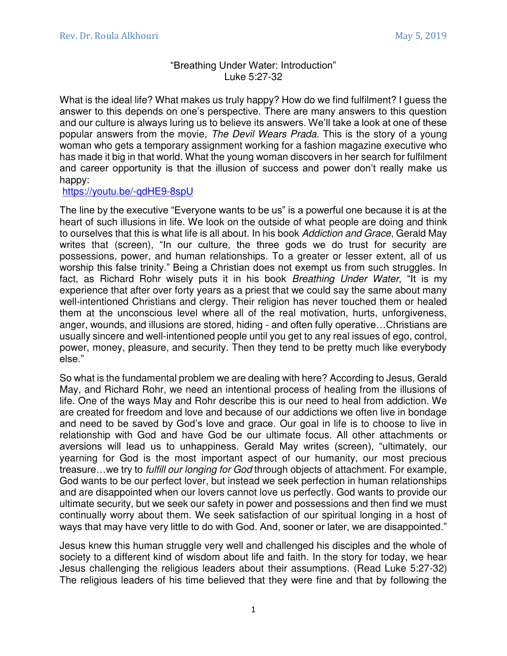## "Breathing Under Water: Introduction" Luke 5:27-32

What is the ideal life? What makes us truly happy? How do we find fulfilment? I guess the answer to this depends on one's perspective. There are many answers to this question and our culture is always luring us to believe its answers. We'll take a look at one of these popular answers from the movie, The Devil Wears Prada. This is the story of a young woman who gets a temporary assignment working for a fashion magazine executive who has made it big in that world. What the young woman discovers in her search for fulfilment and career opportunity is that the illusion of success and power don't really make us happy:

## <https://youtu.be/-qdHE9-8spU>

The line by the executive "Everyone wants to be us" is a powerful one because it is at the heart of such illusions in life. We look on the outside of what people are doing and think to ourselves that this is what life is all about. In his book Addiction and Grace, Gerald May writes that (screen), "In our culture, the three gods we do trust for security are possessions, power, and human relationships. To a greater or lesser extent, all of us worship this false trinity." Being a Christian does not exempt us from such struggles. In fact, as Richard Rohr wisely puts it in his book Breathing Under Water, "It is my experience that after over forty years as a priest that we could say the same about many well-intentioned Christians and clergy. Their religion has never touched them or healed them at the unconscious level where all of the real motivation, hurts, unforgiveness, anger, wounds, and illusions are stored, hiding - and often fully operative…Christians are usually sincere and well-intentioned people until you get to any real issues of ego, control, power, money, pleasure, and security. Then they tend to be pretty much like everybody else."

So what is the fundamental problem we are dealing with here? According to Jesus, Gerald May, and Richard Rohr, we need an intentional process of healing from the illusions of life. One of the ways May and Rohr describe this is our need to heal from addiction. We are created for freedom and love and because of our addictions we often live in bondage and need to be saved by God's love and grace. Our goal in life is to choose to live in relationship with God and have God be our ultimate focus. All other attachments or aversions will lead us to unhappiness. Gerald May writes (screen), "ultimately, our yearning for God is the most important aspect of our humanity, our most precious treasure…we try to fulfill our longing for God through objects of attachment. For example, God wants to be our perfect lover, but instead we seek perfection in human relationships and are disappointed when our lovers cannot love us perfectly. God wants to provide our ultimate security, but we seek our safety in power and possessions and then find we must continually worry about them. We seek satisfaction of our spiritual longing in a host of ways that may have very little to do with God. And, sooner or later, we are disappointed."

Jesus knew this human struggle very well and challenged his disciples and the whole of society to a different kind of wisdom about life and faith. In the story for today, we hear Jesus challenging the religious leaders about their assumptions. (Read Luke 5:27-32) The religious leaders of his time believed that they were fine and that by following the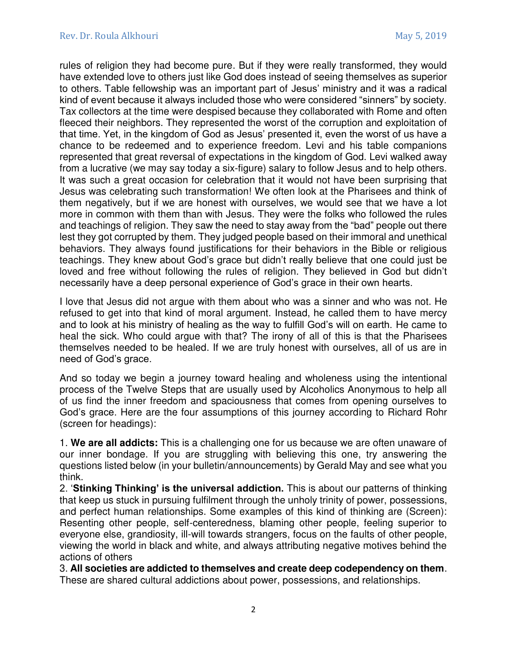rules of religion they had become pure. But if they were really transformed, they would have extended love to others just like God does instead of seeing themselves as superior to others. Table fellowship was an important part of Jesus' ministry and it was a radical kind of event because it always included those who were considered "sinners" by society. Tax collectors at the time were despised because they collaborated with Rome and often fleeced their neighbors. They represented the worst of the corruption and exploitation of that time. Yet, in the kingdom of God as Jesus' presented it, even the worst of us have a chance to be redeemed and to experience freedom. Levi and his table companions represented that great reversal of expectations in the kingdom of God. Levi walked away from a lucrative (we may say today a six-figure) salary to follow Jesus and to help others. It was such a great occasion for celebration that it would not have been surprising that Jesus was celebrating such transformation! We often look at the Pharisees and think of them negatively, but if we are honest with ourselves, we would see that we have a lot more in common with them than with Jesus. They were the folks who followed the rules and teachings of religion. They saw the need to stay away from the "bad" people out there lest they got corrupted by them. They judged people based on their immoral and unethical behaviors. They always found justifications for their behaviors in the Bible or religious teachings. They knew about God's grace but didn't really believe that one could just be loved and free without following the rules of religion. They believed in God but didn't necessarily have a deep personal experience of God's grace in their own hearts.

I love that Jesus did not argue with them about who was a sinner and who was not. He refused to get into that kind of moral argument. Instead, he called them to have mercy and to look at his ministry of healing as the way to fulfill God's will on earth. He came to heal the sick. Who could argue with that? The irony of all of this is that the Pharisees themselves needed to be healed. If we are truly honest with ourselves, all of us are in need of God's grace.

And so today we begin a journey toward healing and wholeness using the intentional process of the Twelve Steps that are usually used by Alcoholics Anonymous to help all of us find the inner freedom and spaciousness that comes from opening ourselves to God's grace. Here are the four assumptions of this journey according to Richard Rohr (screen for headings):

1. **We are all addicts:** This is a challenging one for us because we are often unaware of our inner bondage. If you are struggling with believing this one, try answering the questions listed below (in your bulletin/announcements) by Gerald May and see what you think.

2. '**Stinking Thinking' is the universal addiction.** This is about our patterns of thinking that keep us stuck in pursuing fulfilment through the unholy trinity of power, possessions, and perfect human relationships. Some examples of this kind of thinking are (Screen): Resenting other people, self-centeredness, blaming other people, feeling superior to everyone else, grandiosity, ill-will towards strangers, focus on the faults of other people, viewing the world in black and white, and always attributing negative motives behind the actions of others

3. **All societies are addicted to themselves and create deep codependency on them**. These are shared cultural addictions about power, possessions, and relationships.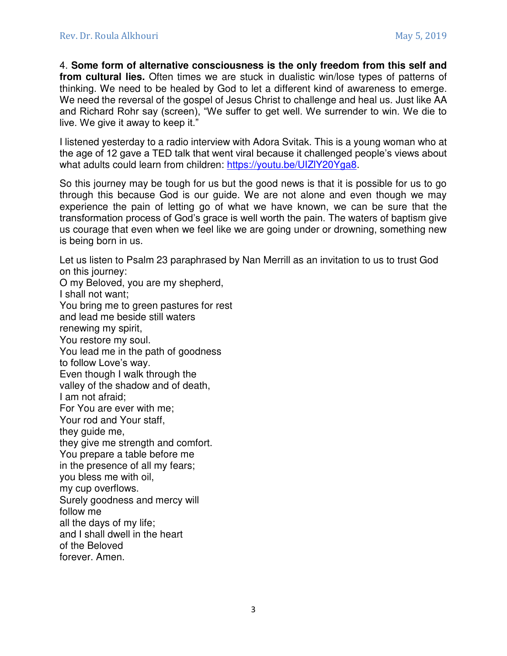4. **Some form of alternative consciousness is the only freedom from this self and from cultural lies.** Often times we are stuck in dualistic win/lose types of patterns of thinking. We need to be healed by God to let a different kind of awareness to emerge. We need the reversal of the gospel of Jesus Christ to challenge and heal us. Just like AA and Richard Rohr say (screen), "We suffer to get well. We surrender to win. We die to live. We give it away to keep it."

I listened yesterday to a radio interview with Adora Svitak. This is a young woman who at the age of 12 gave a TED talk that went viral because it challenged people's views about what adults could learn from children: https://youtu.be/UIZIY20Yga8.

So this journey may be tough for us but the good news is that it is possible for us to go through this because God is our guide. We are not alone and even though we may experience the pain of letting go of what we have known, we can be sure that the transformation process of God's grace is well worth the pain. The waters of baptism give us courage that even when we feel like we are going under or drowning, something new is being born in us.

Let us listen to Psalm 23 paraphrased by Nan Merrill as an invitation to us to trust God on this journey: O my Beloved, you are my shepherd, I shall not want; You bring me to green pastures for rest and lead me beside still waters renewing my spirit, You restore my soul. You lead me in the path of goodness to follow Love's way. Even though I walk through the valley of the shadow and of death, I am not afraid; For You are ever with me; Your rod and Your staff, they guide me, they give me strength and comfort. You prepare a table before me in the presence of all my fears; you bless me with oil, my cup overflows. Surely goodness and mercy will follow me

all the days of my life;

and I shall dwell in the heart

of the Beloved

forever. Amen.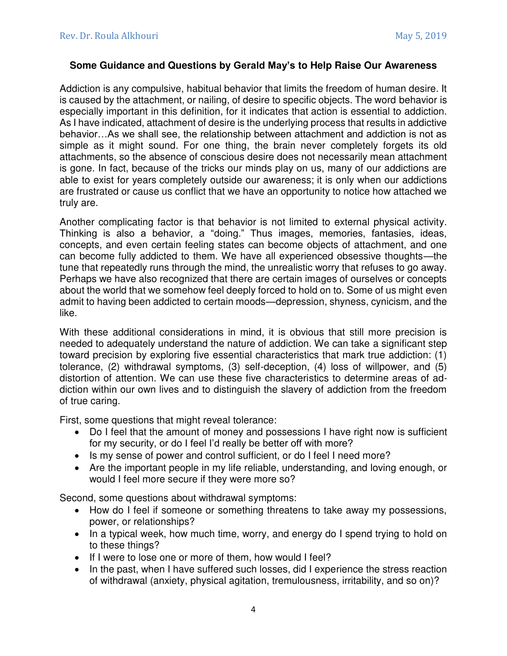## **Some Guidance and Questions by Gerald May's to Help Raise Our Awareness**

Addiction is any compulsive, habitual behavior that limits the freedom of human desire. It is caused by the attachment, or nailing, of desire to specific objects. The word behavior is especially important in this definition, for it indicates that action is essential to addiction. As I have indicated, attachment of desire is the underlying process that results in addictive behavior…As we shall see, the relationship between attachment and addiction is not as simple as it might sound. For one thing, the brain never completely forgets its old attachments, so the absence of conscious desire does not necessarily mean attachment is gone. In fact, because of the tricks our minds play on us, many of our addictions are able to exist for years completely outside our awareness; it is only when our addictions are frustrated or cause us conflict that we have an opportunity to notice how attached we truly are.

Another complicating factor is that behavior is not limited to external physical activity. Thinking is also a behavior, a "doing." Thus images, memories, fantasies, ideas, concepts, and even certain feeling states can become objects of attachment, and one can become fully addicted to them. We have all experienced obsessive thoughts—the tune that repeatedly runs through the mind, the unrealistic worry that refuses to go away. Perhaps we have also recognized that there are certain images of ourselves or concepts about the world that we somehow feel deeply forced to hold on to. Some of us might even admit to having been addicted to certain moods—depression, shyness, cynicism, and the like.

With these additional considerations in mind, it is obvious that still more precision is needed to adequately understand the nature of addiction. We can take a significant step toward precision by exploring five essential characteristics that mark true addiction: (1) tolerance, (2) withdrawal symptoms, (3) self-deception, (4) loss of willpower, and (5) distortion of attention. We can use these five characteristics to determine areas of addiction within our own lives and to distinguish the slavery of addiction from the freedom of true caring.

First, some questions that might reveal tolerance:

- Do I feel that the amount of money and possessions I have right now is sufficient for my security, or do I feel I'd really be better off with more?
- Is my sense of power and control sufficient, or do I feel I need more?
- Are the important people in my life reliable, understanding, and loving enough, or would I feel more secure if they were more so?

Second, some questions about withdrawal symptoms:

- How do I feel if someone or something threatens to take away my possessions, power, or relationships?
- In a typical week, how much time, worry, and energy do I spend trying to hold on to these things?
- If I were to lose one or more of them, how would I feel?
- In the past, when I have suffered such losses, did I experience the stress reaction of withdrawal (anxiety, physical agitation, tremulousness, irritability, and so on)?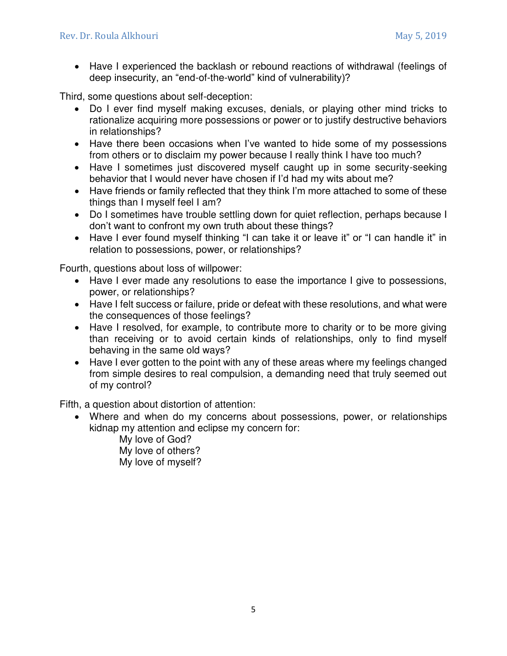• Have I experienced the backlash or rebound reactions of withdrawal (feelings of deep insecurity, an "end-of-the-world" kind of vulnerability)?

Third, some questions about self-deception:

- Do I ever find myself making excuses, denials, or playing other mind tricks to rationalize acquiring more possessions or power or to justify destructive behaviors in relationships?
- Have there been occasions when I've wanted to hide some of my possessions from others or to disclaim my power because I really think I have too much?
- Have I sometimes just discovered myself caught up in some security-seeking behavior that I would never have chosen if I'd had my wits about me?
- Have friends or family reflected that they think I'm more attached to some of these things than I myself feel I am?
- Do I sometimes have trouble settling down for quiet reflection, perhaps because I don't want to confront my own truth about these things?
- Have I ever found myself thinking "I can take it or leave it" or "I can handle it" in relation to possessions, power, or relationships?

Fourth, questions about loss of willpower:

- Have I ever made any resolutions to ease the importance I give to possessions, power, or relationships?
- Have I felt success or failure, pride or defeat with these resolutions, and what were the consequences of those feelings?
- Have I resolved, for example, to contribute more to charity or to be more giving than receiving or to avoid certain kinds of relationships, only to find myself behaving in the same old ways?
- Have I ever gotten to the point with any of these areas where my feelings changed from simple desires to real compulsion, a demanding need that truly seemed out of my control?

Fifth, a question about distortion of attention:

• Where and when do my concerns about possessions, power, or relationships kidnap my attention and eclipse my concern for:

My love of God? My love of others? My love of myself?